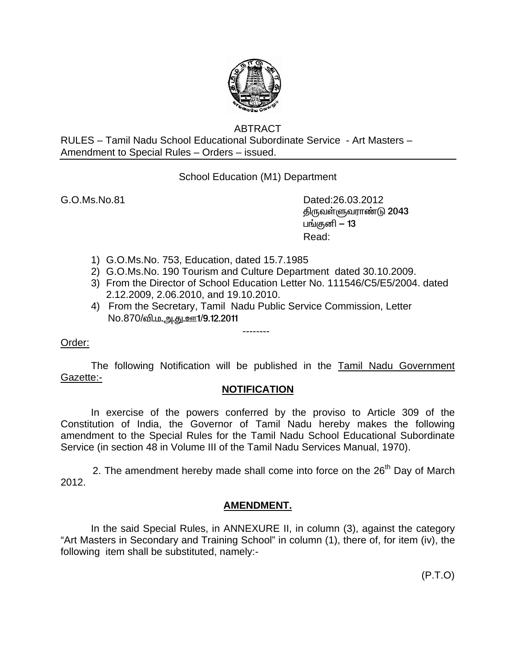

## ABTRACT

RULES – Tamil Nadu School Educational Subordinate Service - Art Masters – Amendment to Special Rules – Orders – issued.

School Education (M1) Department

G.O.Ms.No.81 Dated:26.03.2012 திருவள்ளுவராண்டு 2043 பங்குனி  $-13$ **Read:** The contract of the contract of the Read:

- 1) G.O.Ms.No. 753, Education, dated 15.7.1985
- 2) G.O.Ms.No. 190 Tourism and Culture Department dated 30.10.2009.
- 3) From the Director of School Education Letter No. 111546/C5/E5/2004. dated 2.12.2009, 2.06.2010, and 19.10.2010.
- 4) From the Secretary, Tamil Nadu Public Service Commission, Letter No.870/வி.ம.<u>அ.து.ஊ1/9.12.2011</u>

--------

## Order:

The following Notification will be published in the Tamil Nadu Government Gazette:-

## **NOTIFICATION**

 In exercise of the powers conferred by the proviso to Article 309 of the Constitution of India, the Governor of Tamil Nadu hereby makes the following amendment to the Special Rules for the Tamil Nadu School Educational Subordinate Service (in section 48 in Volume III of the Tamil Nadu Services Manual, 1970).

2. The amendment hereby made shall come into force on the  $26<sup>th</sup>$  Day of March 2012.

## **AMENDMENT.**

 In the said Special Rules, in ANNEXURE II, in column (3), against the category "Art Masters in Secondary and Training School" in column (1), there of, for item (iv), the following item shall be substituted, namely:-

(P.T.O)